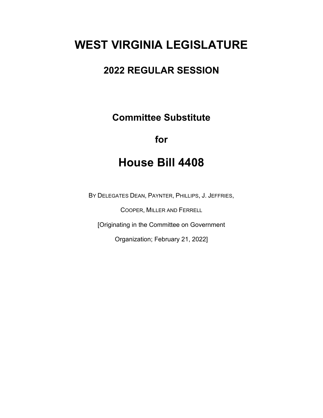# **WEST VIRGINIA LEGISLATURE**

## **2022 REGULAR SESSION**

**Committee Substitute**

### **for**

## **House Bill 4408**

BY DELEGATES DEAN, PAYNTER, PHILLIPS, J. JEFFRIES,

COOPER, MILLER AND FERRELL

[Originating in the Committee on Government

Organization; February 21, 2022]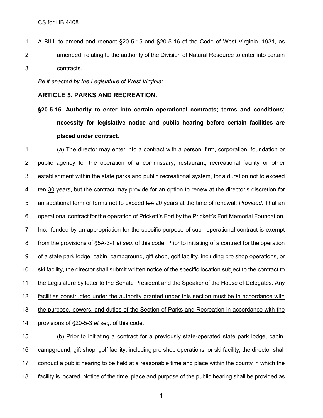A BILL to amend and reenact §20-5-15 and §20-5-16 of the Code of West Virginia, 1931, as amended, relating to the authority of the Division of Natural Resource to enter into certain contracts.

*Be it enacted by the Legislature of West Virginia:*

#### **ARTICLE 5. PARKS AND RECREATION.**

**§20-5-15. Authority to enter into certain operational contracts; terms and conditions; necessity for legislative notice and public hearing before certain facilities are placed under contract.**

 (a) The director may enter into a contract with a person, firm, corporation, foundation or public agency for the operation of a commissary, restaurant, recreational facility or other establishment within the state parks and public recreational system, for a duration not to exceed 4 ten 30 years, but the contract may provide for an option to renew at the director's discretion for an additional term or terms not to exceed ten 20 years at the time of renewal: *Provided,* That an operational contract for the operation of Prickett's Fort by the Prickett's Fort Memorial Foundation, Inc., funded by an appropriation for the specific purpose of such operational contract is exempt from the provisions of §5A-3-1 *et seq.* of this code. Prior to initiating of a contract for the operation of a state park lodge, cabin, campground, gift shop, golf facility, including pro shop operations, or ski facility, the director shall submit written notice of the specific location subject to the contract to the Legislature by letter to the Senate President and the Speaker of the House of Delegates. Any facilities constructed under the authority granted under this section must be in accordance with the purpose, powers, and duties of the Section of Parks and Recreation in accordance with the provisions of §20-5-3 *et seq.* of this code.

 (b) Prior to initiating a contract for a previously state-operated state park lodge, cabin, campground, gift shop, golf facility, including pro shop operations, or ski facility, the director shall conduct a public hearing to be held at a reasonable time and place within the county in which the facility is located. Notice of the time, place and purpose of the public hearing shall be provided as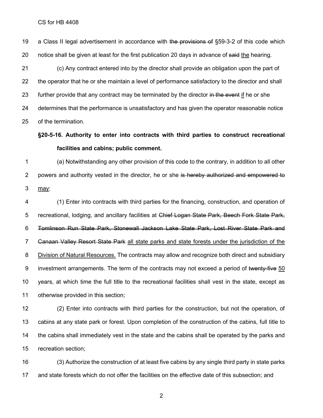19 a Class II legal advertisement in accordance with the provisions of §59-3-2 of this code which 20 notice shall be given at least for the first publication 20 days in advance of said the hearing.

 (c) Any contract entered into by the director shall provide an obligation upon the part of the operator that he or she maintain a level of performance satisfactory to the director and shall 23 further provide that any contract may be terminated by the director in the event if he or she determines that the performance is unsatisfactory and has given the operator reasonable notice of the termination.

#### **§20-5-16. Authority to enter into contracts with third parties to construct recreational facilities and cabins; public comment.**

 (a) Notwithstanding any other provision of this code to the contrary, in addition to all other 2 powers and authority vested in the director, he or she is hereby authorized and empowered to may:

 (1) Enter into contracts with third parties for the financing, construction, and operation of 5 recreational, lodging, and ancillary facilities at Chief Logan State Park, Beech Fork State Park, Tomlinson Run State Park, Stonewall Jackson Lake State Park, Lost River State Park and 7 Ganaan Valley Resort State Park all state parks and state forests under the jurisdiction of the Division of Natural Resources. The contracts may allow and recognize both direct and subsidiary 9 investment arrangements. The term of the contracts may not exceed a period of twenty-five 50 years, at which time the full title to the recreational facilities shall vest in the state, except as otherwise provided in this section;

 (2) Enter into contracts with third parties for the construction, but not the operation, of cabins at any state park or forest. Upon completion of the construction of the cabins, full title to the cabins shall immediately vest in the state and the cabins shall be operated by the parks and recreation section;

 (3) Authorize the construction of at least five cabins by any single third party in state parks and state forests which do not offer the facilities on the effective date of this subsection; and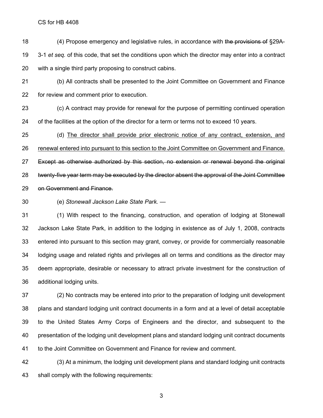CS for HB 4408

18 (4) Propose emergency and legislative rules, in accordance with the provisions of §29A- 3-1 *et seq.* of this code, that set the conditions upon which the director may enter into a contract with a single third party proposing to construct cabins.

 (b) All contracts shall be presented to the Joint Committee on Government and Finance for review and comment prior to execution.

 (c) A contract may provide for renewal for the purpose of permitting continued operation of the facilities at the option of the director for a term or terms not to exceed 10 years.

 (d) The director shall provide prior electronic notice of any contract, extension, and renewal entered into pursuant to this section to the Joint Committee on Government and Finance. Except as otherwise authorized by this section, no extension or renewal beyond the original twenty-five year term may be executed by the director absent the approval of the Joint Committee on Government and Finance.

(e) *Stonewall Jackson Lake State Park. —*

 (1) With respect to the financing, construction, and operation of lodging at Stonewall Jackson Lake State Park, in addition to the lodging in existence as of July 1, 2008, contracts entered into pursuant to this section may grant, convey, or provide for commercially reasonable lodging usage and related rights and privileges all on terms and conditions as the director may deem appropriate, desirable or necessary to attract private investment for the construction of additional lodging units.

 (2) No contracts may be entered into prior to the preparation of lodging unit development plans and standard lodging unit contract documents in a form and at a level of detail acceptable to the United States Army Corps of Engineers and the director, and subsequent to the presentation of the lodging unit development plans and standard lodging unit contract documents to the Joint Committee on Government and Finance for review and comment.

 (3) At a minimum, the lodging unit development plans and standard lodging unit contracts shall comply with the following requirements: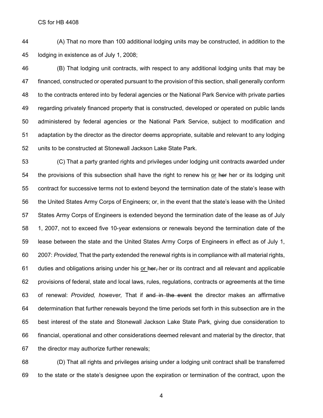CS for HB 4408

 (A) That no more than 100 additional lodging units may be constructed, in addition to the lodging in existence as of July 1, 2008;

 (B) That lodging unit contracts, with respect to any additional lodging units that may be financed, constructed or operated pursuant to the provision of this section, shall generally conform to the contracts entered into by federal agencies or the National Park Service with private parties regarding privately financed property that is constructed, developed or operated on public lands administered by federal agencies or the National Park Service, subject to modification and adaptation by the director as the director deems appropriate, suitable and relevant to any lodging units to be constructed at Stonewall Jackson Lake State Park.

 (C) That a party granted rights and privileges under lodging unit contracts awarded under 54 the provisions of this subsection shall have the right to renew his or her her or its lodging unit contract for successive terms not to extend beyond the termination date of the state's lease with the United States Army Corps of Engineers; or, in the event that the state's lease with the United States Army Corps of Engineers is extended beyond the termination date of the lease as of July 1, 2007, not to exceed five 10-year extensions or renewals beyond the termination date of the lease between the state and the United States Army Corps of Engineers in effect as of July 1, 2007: *Provided,* That the party extended the renewal rights is in compliance with all material rights, 61 duties and obligations arising under his or her, her or its contract and all relevant and applicable provisions of federal, state and local laws, rules, regulations, contracts or agreements at the time of renewal: *Provided, however,* That if and in the event the director makes an affirmative determination that further renewals beyond the time periods set forth in this subsection are in the best interest of the state and Stonewall Jackson Lake State Park, giving due consideration to financial, operational and other considerations deemed relevant and material by the director, that the director may authorize further renewals;

 (D) That all rights and privileges arising under a lodging unit contract shall be transferred to the state or the state's designee upon the expiration or termination of the contract, upon the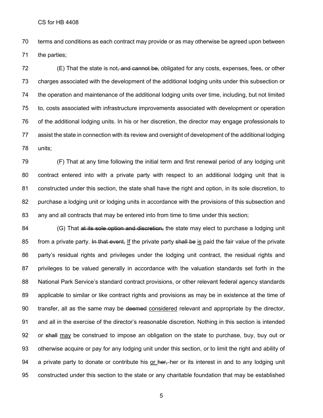CS for HB 4408

 terms and conditions as each contract may provide or as may otherwise be agreed upon between the parties;

72 (E) That the state is not, and cannot be, obligated for any costs, expenses, fees, or other charges associated with the development of the additional lodging units under this subsection or the operation and maintenance of the additional lodging units over time, including, but not limited to, costs associated with infrastructure improvements associated with development or operation of the additional lodging units. In his or her discretion, the director may engage professionals to assist the state in connection with its review and oversight of development of the additional lodging units;

 (F) That at any time following the initial term and first renewal period of any lodging unit contract entered into with a private party with respect to an additional lodging unit that is constructed under this section, the state shall have the right and option, in its sole discretion, to purchase a lodging unit or lodging units in accordance with the provisions of this subsection and any and all contracts that may be entered into from time to time under this section;

84 (G) That at its sole option and discretion, the state may elect to purchase a lodging unit 85 from a private party. In that event, If the private party shall be is paid the fair value of the private party's residual rights and privileges under the lodging unit contract, the residual rights and privileges to be valued generally in accordance with the valuation standards set forth in the National Park Service's standard contract provisions, or other relevant federal agency standards applicable to similar or like contract rights and provisions as may be in existence at the time of 90 transfer, all as the same may be deemed considered relevant and appropriate by the director, and all in the exercise of the director's reasonable discretion. Nothing in this section is intended 92 or shall may be construed to impose an obligation on the state to purchase, buy, buy out or otherwise acquire or pay for any lodging unit under this section, or to limit the right and ability of 94 a private party to donate or contribute his or her, her or its interest in and to any lodging unit constructed under this section to the state or any charitable foundation that may be established